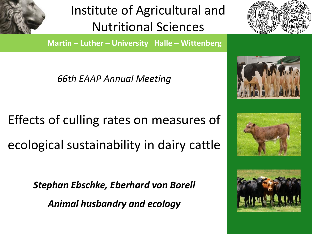

Institute of Agricultural and Nutritional Sciences

**Martin – Luther – University Halle – Wittenberg** 

*66th EAAP Annual Meeting*

Effects of culling rates on measures of ecological sustainability in dairy cattle

*Stephan Ebschke, Eberhard von Borell*

*Animal husbandry and ecology*







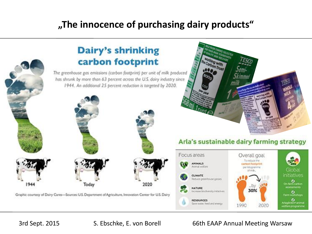#### **"The innocence of purchasing dairy products"**



3rd Sept. 2015 S. Ebschke, E. von Borell 66th EAAP Annual Meeting Warsaw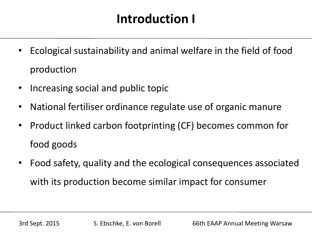## **Introduction I**

- Ecological sustainability and animal welfare in the field of food production
- Increasing social and public topic
- National fertiliser ordinance regulate use of organic manure
- Product linked carbon footprinting (CF) becomes common for food goods
- Food safety, quality and the ecological consequences associated with its production become similar impact for consumer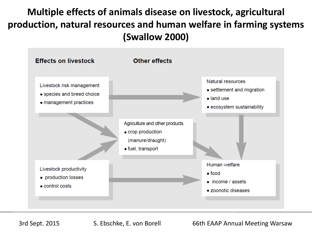#### **Multiple effects of animals disease on livestock, agricultural production, natural resources and human welfare in farming systems (Swallow 2000)**



3rd Sept. 2015 S. Ebschke, E. von Borell 66th EAAP Annual Meeting Warsaw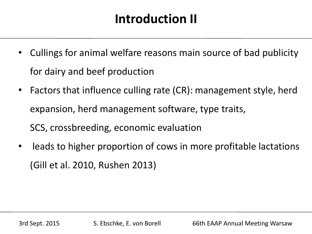## **Introduction II**

- Cullings for animal welfare reasons main source of bad publicity for dairy and beef production
- Factors that influence culling rate (CR): management style, herd expansion, herd management software, type traits, SCS, crossbreeding, economic evaluation
- leads to higher proportion of cows in more profitable lactations (Gill et al. 2010, Rushen 2013)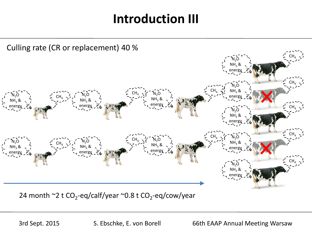#### **Introduction III**



24 month ~2 t CO<sub>2</sub>-eq/calf/year ~0.8 t CO<sub>2</sub>-eq/cow/year

3rd Sept. 2015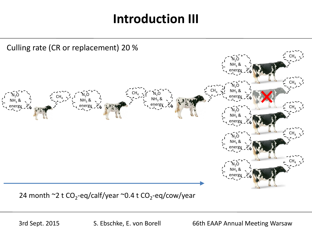#### **Introduction III**



24 month ~2 t CO<sub>2</sub>-eq/calf/year ~0.4 t CO<sub>2</sub>-eq/cow/year

3rd Sept. 2015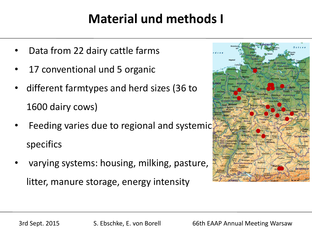## **Material und methods I**

- Data from 22 dairy cattle farms
- 17 conventional und 5 organic
- different farmtypes and herd sizes (36 to 1600 dairy cows)
- Feeding varies due to regional and systemic specifics
- varying systems: housing, milking, pasture, litter, manure storage, energy intensity

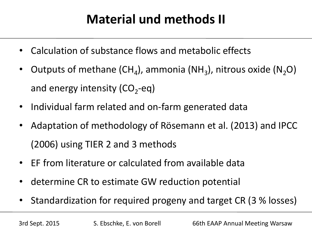# **Material und methods II**

- Calculation of substance flows and metabolic effects
- Outputs of methane (CH<sub>4</sub>), ammonia (NH<sub>3</sub>), nitrous oxide (N<sub>2</sub>O) and energy intensity (CO<sub>2</sub>-eq)
- Individual farm related and on-farm generated data
- Adaptation of methodology of Rösemann et al. (2013) and IPCC (2006) using TIER 2 and 3 methods
- EF from literature or calculated from available data
- determine CR to estimate GW reduction potential
- Standardization for required progeny and target CR (3 % losses)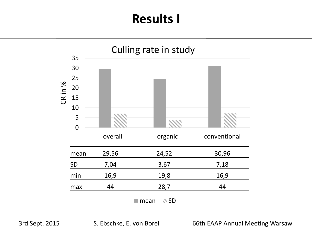## **Results I**

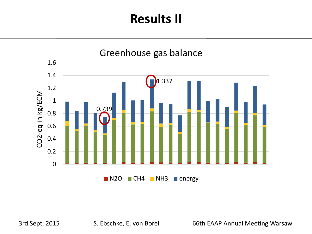

3rd Sept. 2015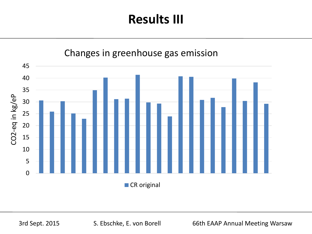

#### Changes in greenhouse gas emission

3rd Sept. 2015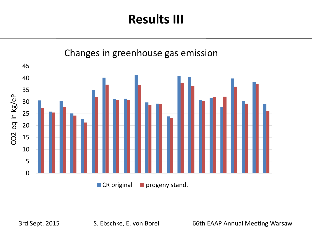

3rd Sept. 2015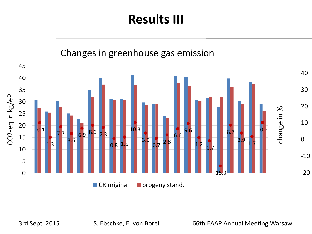

3rd Sept. 2015 S. Ebschke, E. von Borell 66th EAAP Annual Meeting Warsaw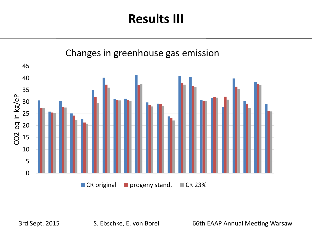

3rd Sept. 2015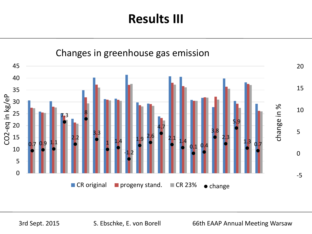

3rd Sept. 2015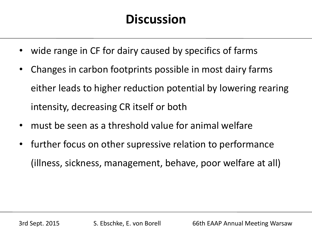## **Discussion**

- wide range in CF for dairy caused by specifics of farms
- Changes in carbon footprints possible in most dairy farms either leads to higher reduction potential by lowering rearing intensity, decreasing CR itself or both
- must be seen as a threshold value for animal welfare
- further focus on other supressive relation to performance (illness, sickness, management, behave, poor welfare at all)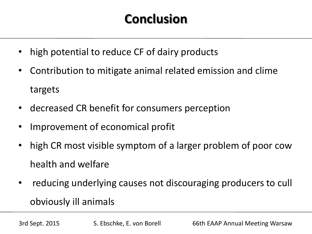# **Conclusion**

- high potential to reduce CF of dairy products
- Contribution to mitigate animal related emission and clime targets
- decreased CR benefit for consumers perception
- Improvement of economical profit
- high CR most visible symptom of a larger problem of poor cow health and welfare
- reducing underlying causes not discouraging producers to cull obviously ill animals